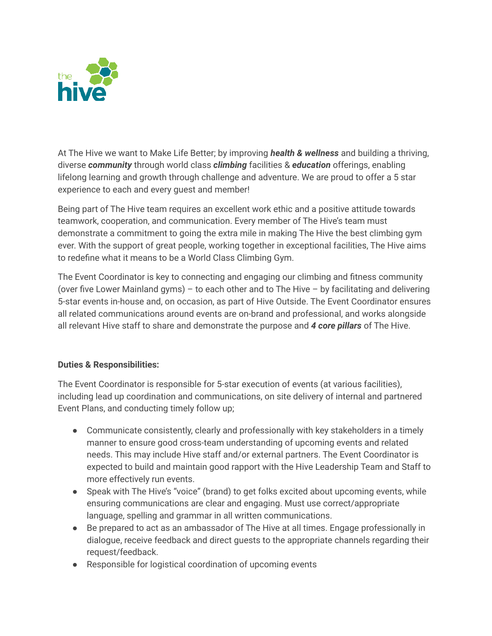

At The Hive we want to Make Life Better; by improving *health & wellness* and building a thriving, diverse *community* through world class *climbing* facilities & *education* offerings, enabling lifelong learning and growth through challenge and adventure. We are proud to offer a 5 star experience to each and every guest and member!

Being part of The Hive team requires an excellent work ethic and a positive attitude towards teamwork, cooperation, and communication. Every member of The Hive's team must demonstrate a commitment to going the extra mile in making The Hive the best climbing gym ever. With the support of great people, working together in exceptional facilities, The Hive aims to redefine what it means to be a World Class Climbing Gym.

The Event Coordinator is key to connecting and engaging our climbing and fitness community (over five Lower Mainland gyms) – to each other and to The Hive – by facilitating and delivering 5-star events in-house and, on occasion, as part of Hive Outside. The Event Coordinator ensures all related communications around events are on-brand and professional, and works alongside all relevant Hive staff to share and demonstrate the purpose and *4 core pillars* of The Hive.

## **Duties & Responsibilities:**

The Event Coordinator is responsible for 5-star execution of events (at various facilities), including lead up coordination and communications, on site delivery of internal and partnered Event Plans, and conducting timely follow up;

- Communicate consistently, clearly and professionally with key stakeholders in a timely manner to ensure good cross-team understanding of upcoming events and related needs. This may include Hive staff and/or external partners. The Event Coordinator is expected to build and maintain good rapport with the Hive Leadership Team and Staff to more effectively run events.
- Speak with The Hive's "voice" (brand) to get folks excited about upcoming events, while ensuring communications are clear and engaging. Must use correct/appropriate language, spelling and grammar in all written communications.
- Be prepared to act as an ambassador of The Hive at all times. Engage professionally in dialogue, receive feedback and direct guests to the appropriate channels regarding their request/feedback.
- Responsible for logistical coordination of upcoming events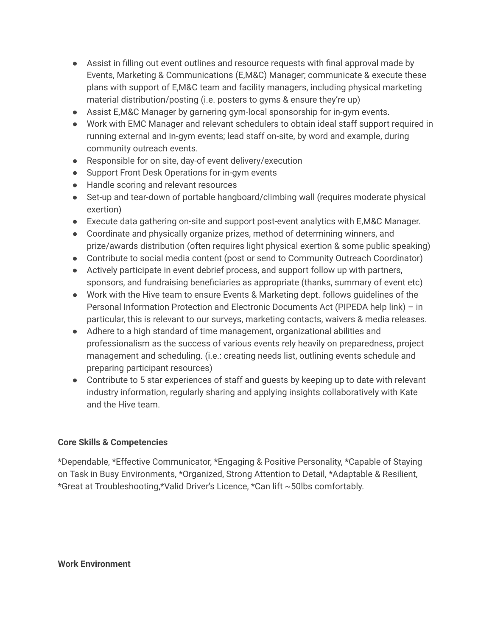- Assist in filling out event outlines and resource requests with final approval made by Events, Marketing & Communications (E,M&C) Manager; communicate & execute these plans with support of E,M&C team and facility managers, including physical marketing material distribution/posting (i.e. posters to gyms & ensure they're up)
- Assist E,M&C Manager by garnering gym-local sponsorship for in-gym events.
- Work with EMC Manager and relevant schedulers to obtain ideal staff support required in running external and in-gym events; lead staff on-site, by word and example, during community outreach events.
- Responsible for on site, day-of event delivery/execution
- Support Front Desk Operations for in-gym events
- Handle scoring and relevant resources
- Set-up and tear-down of portable hangboard/climbing wall (requires moderate physical exertion)
- Execute data gathering on-site and support post-event analytics with E,M&C Manager.
- Coordinate and physically organize prizes, method of determining winners, and prize/awards distribution (often requires light physical exertion & some public speaking)
- Contribute to social media content (post or send to Community Outreach Coordinator)
- Actively participate in event debrief process, and support follow up with partners, sponsors, and fundraising beneficiaries as appropriate (thanks, summary of event etc)
- Work with the Hive team to ensure Events & Marketing dept. follows guidelines of the Personal Information Protection and Electronic Documents Act (PIPEDA help link) – in particular, this is relevant to our surveys, marketing contacts, waivers & media releases.
- Adhere to a high standard of time management, organizational abilities and professionalism as the success of various events rely heavily on preparedness, project management and scheduling. (i.e.: creating needs list, outlining events schedule and preparing participant resources)
- Contribute to 5 star experiences of staff and guests by keeping up to date with relevant industry information, regularly sharing and applying insights collaboratively with Kate and the Hive team.

## **Core Skills & Competencies**

\*Dependable, \*Effective Communicator, \*Engaging & Positive Personality, \*Capable of Staying on Task in Busy Environments, \*Organized, Strong Attention to Detail, \*Adaptable & Resilient, \*Great at Troubleshooting,\*Valid Driver's Licence, \*Can lift ~50lbs comfortably.

**Work Environment**